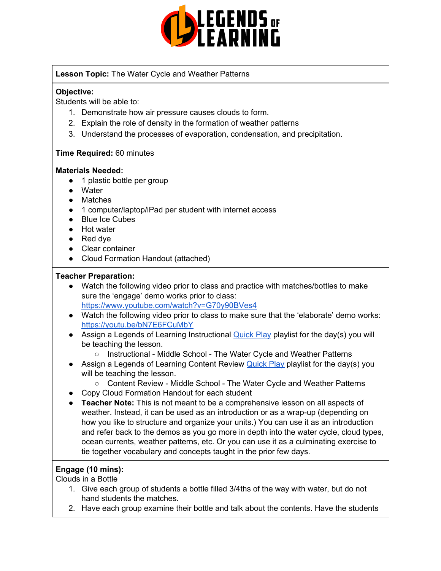

**Lesson Topic:** The Water Cycle and Weather Patterns

### **Objective:**

Students will be able to:

- 1. Demonstrate how air pressure causes clouds to form.
- 2. Explain the role of density in the formation of weather patterns
- 3. Understand the processes of evaporation, condensation, and precipitation.

### **Time Required:** 60 minutes

#### **Materials Needed:**

- 1 plastic bottle per group
- Water
- Matches
- 1 computer/laptop/iPad per student with internet access
- Blue Ice Cubes
- Hot water
- Red dve
- Clear container
- Cloud Formation Handout (attached)

### **Teacher Preparation:**

- Watch the following video prior to class and practice with matches/bottles to make sure the 'engage' demo works prior to class: <https://www.youtube.com/watch?v=G70y90BVes4>
- Watch the following video prior to class to make sure that the 'elaborate' demo works: <https://youtu.be/bN7E6FCuMbY>
- Assign a Legends of Learning Instructional [Quick](https://intercom.help/legends-of-learning/en/articles/2701866-assigning-a-quick-play-playlist) Play playlist for the day(s) you will be teaching the lesson.
	- Instructional Middle School The Water Cycle and Weather Patterns
- Assign a Legends of Learning Content Review **[Quick](https://intercom.help/legends-of-learning/en/articles/2701866-assigning-a-quick-play-playlist) Play playlist for the day(s)** you will be teaching the lesson.
	- Content Review Middle School The Water Cycle and Weather Patterns
- Copy Cloud Formation Handout for each student
- **Teacher Note:** This is not meant to be a comprehensive lesson on all aspects of weather. Instead, it can be used as an introduction or as a wrap-up (depending on how you like to structure and organize your units.) You can use it as an introduction and refer back to the demos as you go more in depth into the water cycle, cloud types, ocean currents, weather patterns, etc. Or you can use it as a culminating exercise to tie together vocabulary and concepts taught in the prior few days.

# **Engage (10 mins):**

Clouds in a Bottle

- 1. Give each group of students a bottle filled 3/4ths of the way with water, but do not hand students the matches.
- 2. Have each group examine their bottle and talk about the contents. Have the students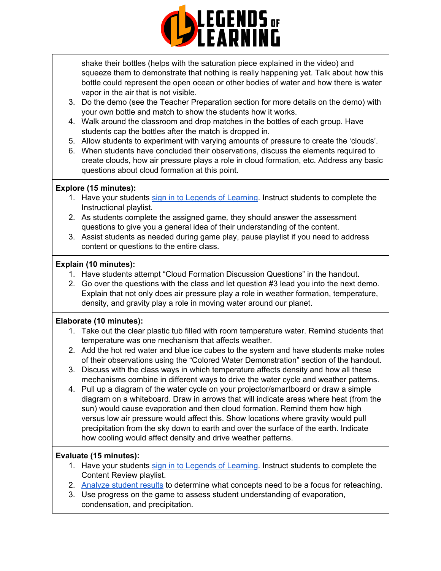

shake their bottles (helps with the saturation piece explained in the video) and squeeze them to demonstrate that nothing is really happening yet. Talk about how this bottle could represent the open ocean or other bodies of water and how there is water vapor in the air that is not visible.

- 3. Do the demo (see the Teacher Preparation section for more details on the demo) with your own bottle and match to show the students how it works.
- 4. Walk around the classroom and drop matches in the bottles of each group. Have students cap the bottles after the match is dropped in.
- 5. Allow students to experiment with varying amounts of pressure to create the 'clouds'.
- 6. When students have concluded their observations, discuss the elements required to create clouds, how air pressure plays a role in cloud formation, etc. Address any basic questions about cloud formation at this point.

### **Explore (15 minutes):**

- 1. Have your students sign in to Legends of [Learning](https://intercom.help/legends-of-learning/en/articles/2154920-students-joining-a-playlist). Instruct students to complete the Instructional playlist.
- 2. As students complete the assigned game*,* they should answer the assessment questions to give you a general idea of their understanding of the content.
- 3. Assist students as needed during game play, pause playlist if you need to address content or questions to the entire class.

### **Explain (10 minutes):**

- 1. Have students attempt "Cloud Formation Discussion Questions" in the handout.
- 2. Go over the questions with the class and let question #3 lead you into the next demo. Explain that not only does air pressure play a role in weather formation, temperature, density, and gravity play a role in moving water around our planet.

### **Elaborate (10 minutes):**

- 1. Take out the clear plastic tub filled with room temperature water. Remind students that temperature was one mechanism that affects weather.
- 2. Add the hot red water and blue ice cubes to the system and have students make notes of their observations using the "Colored Water Demonstration" section of the handout.
- 3. Discuss with the class ways in which temperature affects density and how all these mechanisms combine in different ways to drive the water cycle and weather patterns.
- 4. Pull up a diagram of the water cycle on your projector/smartboard or draw a simple diagram on a whiteboard. Draw in arrows that will indicate areas where heat (from the sun) would cause evaporation and then cloud formation. Remind them how high versus low air pressure would affect this. Show locations where gravity would pull precipitation from the sky down to earth and over the surface of the earth. Indicate how cooling would affect density and drive weather patterns.

### **Evaluate (15 minutes):**

- 1. Have your students sign in to Legends of [Learning](https://intercom.help/legends-of-learning/en/articles/2154920-students-joining-a-playlist). Instruct students to complete the Content Review playlist.
- 2. [Analyze](https://intercom.help/legends-of-learning/en/articles/2154918-tracking-student-progress-and-performance) student results to determine what concepts need to be a focus for reteaching.
- 3. Use progress on the game to assess student understanding of evaporation, condensation, and precipitation.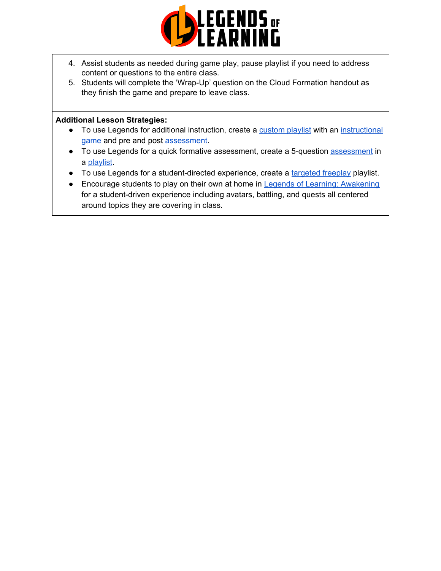

- 4. Assist students as needed during game play, pause playlist if you need to address content or questions to the entire class.
- 5. Students will complete the 'Wrap-Up' question on the Cloud Formation handout as they finish the game and prepare to leave class.

#### **Additional Lesson Strategies:**

- To use Legends for additional instruction, create a [custom](https://intercom.help/legends-of-learning/en/articles/2154910-creating-a-playlist) playlist with an [instructional](https://intercom.help/legends-of-learning/en/articles/3505828-types-of-games) [game](https://intercom.help/legends-of-learning/en/articles/3505828-types-of-games) and pre and post [assessment](https://intercom.help/legends-of-learning/en/articles/2154913-adding-assessments-to-a-playlist).
- To use Legends for a quick formative [assessment](https://intercom.help/legends-of-learning/en/articles/2154913-adding-assessments-to-a-playlist), create a 5-question assessment in a [playlist](https://intercom.help/legends-of-learning/en/articles/2154910-creating-a-playlist).
- To use Legends for a student-directed experience, create a [targeted](https://intercom.help/legends-of-learning/en/articles/3340814-targeted-freeplay) freeplay playlist.
- Encourage students to play on their own at home in Legends of Learning: [Awakening](https://intercom.help/legends-of-learning/en/articles/2425490-legends-of-learning-awakening) for a student-driven experience including avatars, battling, and quests all centered around topics they are covering in class.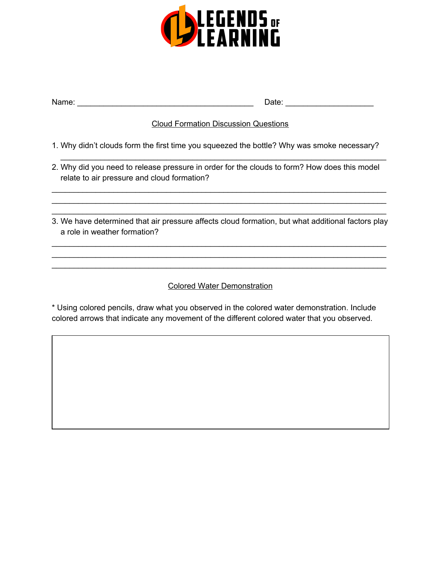

| Name: |  |
|-------|--|
|       |  |

Name: \_\_\_\_\_\_\_\_\_\_\_\_\_\_\_\_\_\_\_\_\_\_\_\_\_\_\_\_\_\_\_\_\_\_\_\_\_\_\_\_ Date: \_\_\_\_\_\_\_\_\_\_\_\_\_\_\_\_\_\_\_\_

## Cloud Formation Discussion Questions

\_\_\_\_\_\_\_\_\_\_\_\_\_\_\_\_\_\_\_\_\_\_\_\_\_\_\_\_\_\_\_\_\_\_\_\_\_\_\_\_\_\_\_\_\_\_\_\_\_\_\_\_\_\_\_\_\_\_\_\_\_\_\_\_\_\_\_\_\_\_\_\_\_\_

- 1. Why didn't clouds form the first time you squeezed the bottle? Why was smoke necessary?
- 2. Why did you need to release pressure in order for the clouds to form? How does this model relate to air pressure and cloud formation?

\_\_\_\_\_\_\_\_\_\_\_\_\_\_\_\_\_\_\_\_\_\_\_\_\_\_\_\_\_\_\_\_\_\_\_\_\_\_\_\_\_\_\_\_\_\_\_\_\_\_\_\_\_\_\_\_\_\_\_\_\_\_\_\_\_\_\_\_\_\_\_\_\_\_\_\_ \_\_\_\_\_\_\_\_\_\_\_\_\_\_\_\_\_\_\_\_\_\_\_\_\_\_\_\_\_\_\_\_\_\_\_\_\_\_\_\_\_\_\_\_\_\_\_\_\_\_\_\_\_\_\_\_\_\_\_\_\_\_\_\_\_\_\_\_\_\_\_\_\_\_\_\_ \_\_\_\_\_\_\_\_\_\_\_\_\_\_\_\_\_\_\_\_\_\_\_\_\_\_\_\_\_\_\_\_\_\_\_\_\_\_\_\_\_\_\_\_\_\_\_\_\_\_\_\_\_\_\_\_\_\_\_\_\_\_\_\_\_\_\_\_\_\_\_\_\_\_\_\_

3. We have determined that air pressure affects cloud formation, but what additional factors play a role in weather formation?

\_\_\_\_\_\_\_\_\_\_\_\_\_\_\_\_\_\_\_\_\_\_\_\_\_\_\_\_\_\_\_\_\_\_\_\_\_\_\_\_\_\_\_\_\_\_\_\_\_\_\_\_\_\_\_\_\_\_\_\_\_\_\_\_\_\_\_\_\_\_\_\_\_\_\_\_ \_\_\_\_\_\_\_\_\_\_\_\_\_\_\_\_\_\_\_\_\_\_\_\_\_\_\_\_\_\_\_\_\_\_\_\_\_\_\_\_\_\_\_\_\_\_\_\_\_\_\_\_\_\_\_\_\_\_\_\_\_\_\_\_\_\_\_\_\_\_\_\_\_\_\_\_ \_\_\_\_\_\_\_\_\_\_\_\_\_\_\_\_\_\_\_\_\_\_\_\_\_\_\_\_\_\_\_\_\_\_\_\_\_\_\_\_\_\_\_\_\_\_\_\_\_\_\_\_\_\_\_\_\_\_\_\_\_\_\_\_\_\_\_\_\_\_\_\_\_\_\_\_

## Colored Water Demonstration

\* Using colored pencils, draw what you observed in the colored water demonstration. Include colored arrows that indicate any movement of the different colored water that you observed.